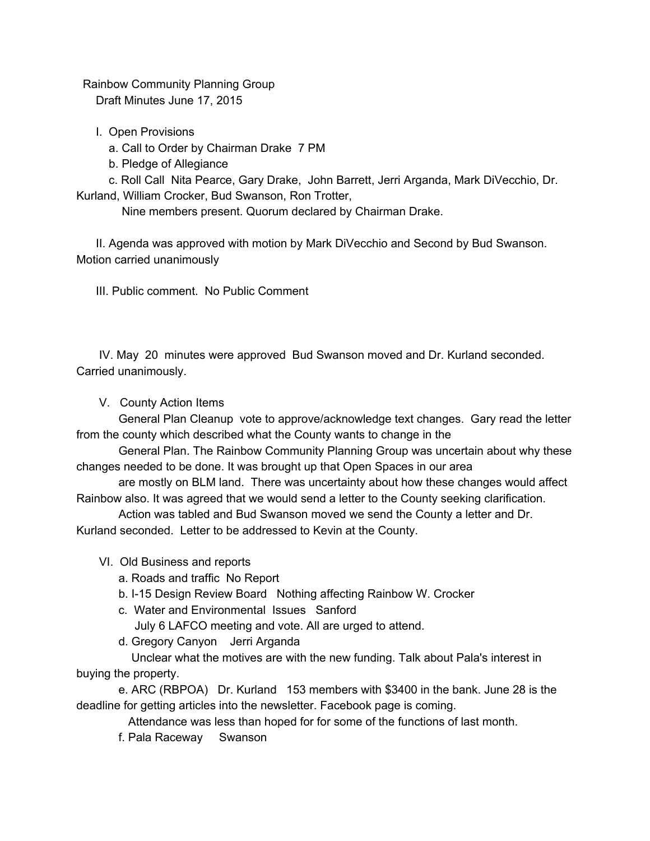Rainbow Community Planning Group

Draft Minutes June 17, 2015

I. Open Provisions

a. Call to Order by Chairman Drake 7 PM

b. Pledge of Allegiance

c. Roll Call Nita Pearce, Gary Drake, John Barrett, Jerri Arganda, Mark DiVecchio, Dr. Kurland, William Crocker, Bud Swanson, Ron Trotter,

Nine members present. Quorum declared by Chairman Drake.

II. Agenda was approved with motion by Mark DiVecchio and Second by Bud Swanson. Motion carried unanimously

III. Public comment. No Public Comment

IV. May 20 minutes were approved Bud Swanson moved and Dr. Kurland seconded. Carried unanimously.

V. County Action Items

General Plan Cleanup vote to approve/acknowledge text changes. Gary read the letter from the county which described what the County wants to change in the

General Plan. The Rainbow Community Planning Group was uncertain about why these changes needed to be done. It was brought up that Open Spaces in our area

are mostly on BLM land. There was uncertainty about how these changes would affect Rainbow also. It was agreed that we would send a letter to the County seeking clarification.

Action was tabled and Bud Swanson moved we send the County a letter and Dr. Kurland seconded. Letter to be addressed to Kevin at the County.

## VI. Old Business and reports

a. Roads and traffic No Report

b. I-15 Design Review Board Nothing affecting Rainbow W. Crocker

c. Water and Environmental Issues Sanford

July 6 LAFCO meeting and vote. All are urged to attend.

d. Gregory Canyon Jerri Arganda

Unclear what the motives are with the new funding. Talk about Pala's interest in buying the property.

e. ARC (RBPOA) Dr. Kurland 153 members with \$3400 in the bank. June 28 is the deadline for getting articles into the newsletter. Facebook page is coming.

Attendance was less than hoped for for some of the functions of last month.

f. Pala Raceway Swanson